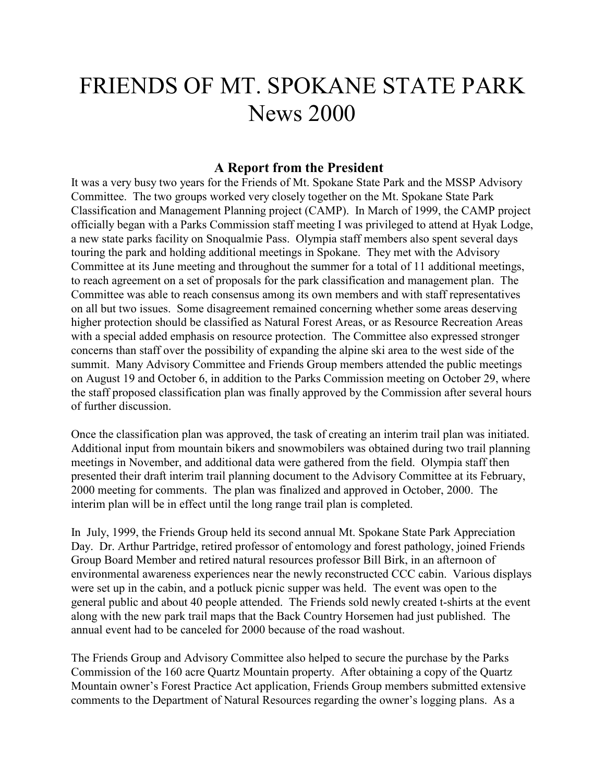# FRIENDS OF MT. SPOKANE STATE PARK News 2000

### **A Report from the President**

It was a very busy two years for the Friends of Mt. Spokane State Park and the MSSP Advisory Committee. The two groups worked very closely together on the Mt. Spokane State Park Classification and Management Planning project (CAMP). In March of 1999, the CAMP project officially began with a Parks Commission staff meeting I was privileged to attend at Hyak Lodge, a new state parks facility on Snoqualmie Pass. Olympia staff members also spent several days touring the park and holding additional meetings in Spokane. They met with the Advisory Committee at its June meeting and throughout the summer for a total of 11 additional meetings, to reach agreement on a set of proposals for the park classification and management plan. The Committee was able to reach consensus among its own members and with staff representatives on all but two issues. Some disagreement remained concerning whether some areas deserving higher protection should be classified as Natural Forest Areas, or as Resource Recreation Areas with a special added emphasis on resource protection. The Committee also expressed stronger concerns than staff over the possibility of expanding the alpine ski area to the west side of the summit. Many Advisory Committee and Friends Group members attended the public meetings on August 19 and October 6, in addition to the Parks Commission meeting on October 29, where the staff proposed classification plan was finally approved by the Commission after several hours of further discussion.

Once the classification plan was approved, the task of creating an interim trail plan was initiated. Additional input from mountain bikers and snowmobilers was obtained during two trail planning meetings in November, and additional data were gathered from the field. Olympia staff then presented their draft interim trail planning document to the Advisory Committee at its February, 2000 meeting for comments. The plan was finalized and approved in October, 2000. The interim plan will be in effect until the long range trail plan is completed.

In July, 1999, the Friends Group held its second annual Mt. Spokane State Park Appreciation Day. Dr. Arthur Partridge, retired professor of entomology and forest pathology, joined Friends Group Board Member and retired natural resources professor Bill Birk, in an afternoon of environmental awareness experiences near the newly reconstructed CCC cabin. Various displays were set up in the cabin, and a potluck picnic supper was held. The event was open to the general public and about 40 people attended. The Friends sold newly created t-shirts at the event along with the new park trail maps that the Back Country Horsemen had just published. The annual event had to be canceled for 2000 because of the road washout.

The Friends Group and Advisory Committee also helped to secure the purchase by the Parks Commission of the 160 acre Quartz Mountain property. After obtaining a copy of the Quartz Mountain owner's Forest Practice Act application, Friends Group members submitted extensive comments to the Department of Natural Resources regarding the owner's logging plans. As a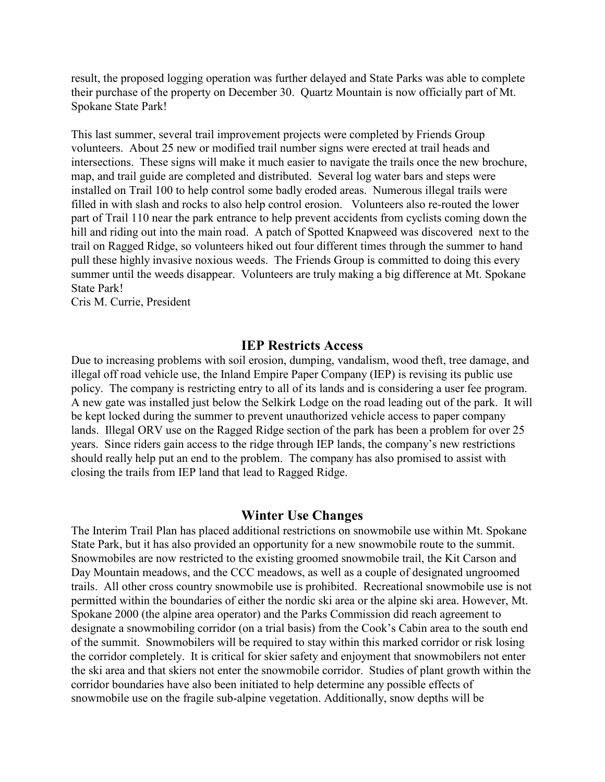result, the proposed logging operation was further delayed and State Parks was able to complete their purchase of the property on December 30. Quartz Mountain is now officially part of Mt. Spokane State Park!

This last summer, several trail improvement projects were completed by Friends Group volunteers. About 25 new or modified trail number signs were erected at trail heads and intersections. These signs will make it much easier to navigate the trails once the new brochure, map, and trail guide are completed and distributed. Several log water bars and steps were installed on Trail 100 to help control some badly eroded areas. Numerous illegal trails were filled in with slash and rocks to also help control erosion. Volunteers also re-routed the lower part of Trail 110 near the park entrance to help prevent accidents from cyclists coming down the hill and riding out into the main road. A patch of Spotted Knapweed was discovered next to the trail on Ragged Ridge, so volunteers hiked out four different times through the summer to hand pull these highly invasive noxious weeds. The Friends Group is committed to doing this every summer until the weeds disappear. Volunteers are truly making a big difference at Mt. Spokane State Park!

Cris M. Currie, President

#### **IEP Restricts Access**

Due to increasing problems with soil erosion, dumping, vandalism, wood theft, tree damage, and illegal off road vehicle use, the Inland Empire Paper Company (IEP) is revising its public use policy. The company is restricting entry to all of its lands and is considering a user fee program. A new gate was installed just below the Selkirk Lodge on the road leading out of the park. It will be kept locked during the summer to prevent unauthorized vehicle access to paper company lands. Illegal ORV use on the Ragged Ridge section of the park has been a problem for over 25 years. Since riders gain access to the ridge through IEP lands, the company's new restrictions should really help put an end to the problem. The company has also promised to assist with closing the trails from IEP land that lead to Ragged Ridge.

#### **Winter Use Changes**

The Interim Trail Plan has placed additional restrictions on snowmobile use within Mt. Spokane State Park, but it has also provided an opportunity for a new snowmobile route to the summit. Snowmobiles are now restricted to the existing groomed snowmobile trail, the Kit Carson and Day Mountain meadows, and the CCC meadows, as well as a couple of designated ungroomed trails. All other cross country snowmobile use is prohibited. Recreational snowmobile use is not permitted within the boundaries of either the nordic ski area or the alpine ski area. However, Mt. Spokane 2000 (the alpine area operator) and the Parks Commission did reach agreement to designate a snowmobiling corridor (on a trial basis) from the Cook's Cabin area to the south end of the summit. Snowmobilers will be required to stay within this marked corridor or risk losing the corridor completely. It is critical for skier safety and enjoyment that snowmobilers not enter the ski area and that skiers not enter the snowmobile corridor. Studies of plant growth within the corridor boundaries have also been initiated to help determine any possible effects of snowmobile use on the fragile sub-alpine vegetation. Additionally, snow depths will be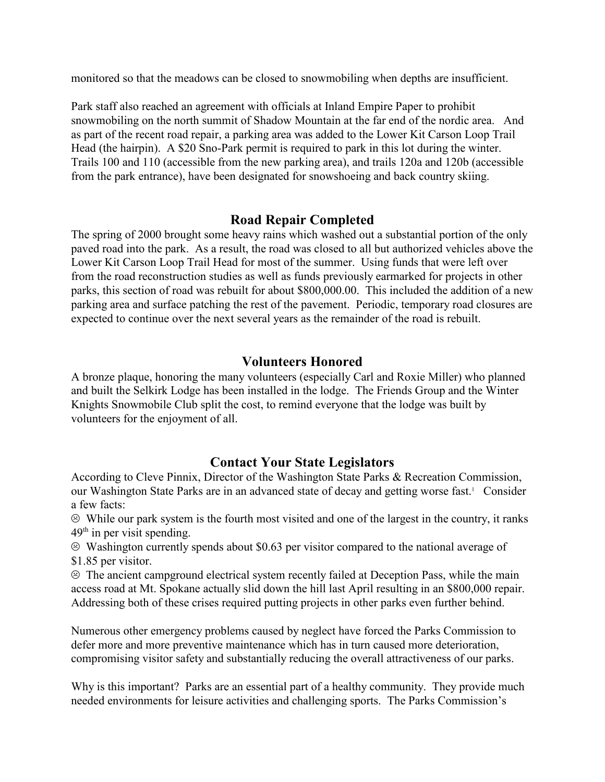monitored so that the meadows can be closed to snowmobiling when depths are insufficient.

Park staff also reached an agreement with officials at Inland Empire Paper to prohibit snowmobiling on the north summit of Shadow Mountain at the far end of the nordic area. And as part of the recent road repair, a parking area was added to the Lower Kit Carson Loop Trail Head (the hairpin). A \$20 Sno-Park permit is required to park in this lot during the winter. Trails 100 and 110 (accessible from the new parking area), and trails 120a and 120b (accessible from the park entrance), have been designated for snowshoeing and back country skiing.

# **Road Repair Completed**

The spring of 2000 brought some heavy rains which washed out a substantial portion of the only paved road into the park. As a result, the road was closed to all but authorized vehicles above the Lower Kit Carson Loop Trail Head for most of the summer. Using funds that were left over from the road reconstruction studies as well as funds previously earmarked for projects in other parks, this section of road was rebuilt for about \$800,000.00. This included the addition of a new parking area and surface patching the rest of the pavement. Periodic, temporary road closures are expected to continue over the next several years as the remainder of the road is rebuilt.

### **Volunteers Honored**

A bronze plaque, honoring the many volunteers (especially Carl and Roxie Miller) who planned and built the Selkirk Lodge has been installed in the lodge. The Friends Group and the Winter Knights Snowmobile Club split the cost, to remind everyone that the lodge was built by volunteers for the enjoyment of all.

# **Contact Your State Legislators**

According to Cleve Pinnix, Director of the Washington State Parks & Recreation Commission, our Washington State Parks are in an advanced state of decay and getting worse fast.<sup>1</sup> Consider a few facts:

 $\odot$  While our park system is the fourth most visited and one of the largest in the country, it ranks  $49<sup>th</sup>$  in per visit spending.

 $\odot$  Washington currently spends about \$0.63 per visitor compared to the national average of \$1.85 per visitor.

 $\odot$  The ancient campground electrical system recently failed at Deception Pass, while the main access road at Mt. Spokane actually slid down the hill last April resulting in an \$800,000 repair. Addressing both of these crises required putting projects in other parks even further behind.

Numerous other emergency problems caused by neglect have forced the Parks Commission to defer more and more preventive maintenance which has in turn caused more deterioration, compromising visitor safety and substantially reducing the overall attractiveness of our parks.

Why is this important? Parks are an essential part of a healthy community. They provide much needed environments for leisure activities and challenging sports. The Parks Commission's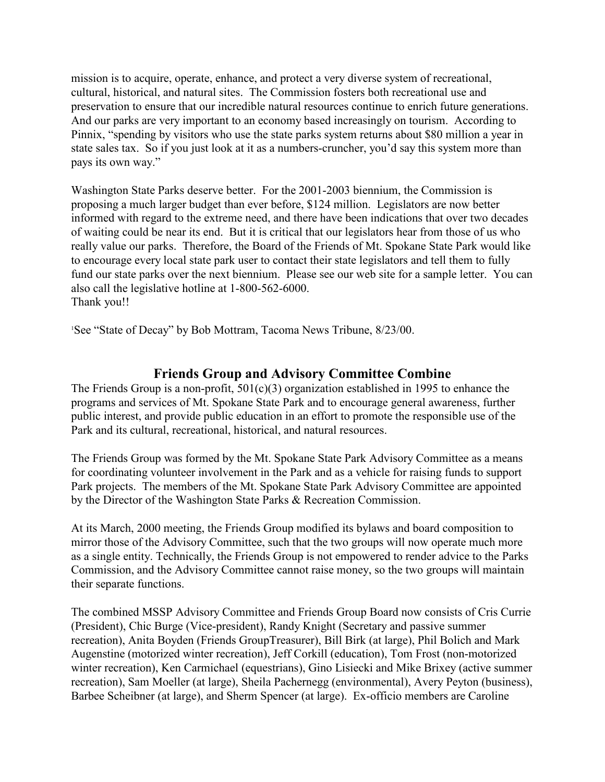mission is to acquire, operate, enhance, and protect a very diverse system of recreational, cultural, historical, and natural sites. The Commission fosters both recreational use and preservation to ensure that our incredible natural resources continue to enrich future generations. And our parks are very important to an economy based increasingly on tourism. According to Pinnix, "spending by visitors who use the state parks system returns about \$80 million a year in state sales tax. So if you just look at it as a numbers-cruncher, you'd say this system more than pays its own way."

Washington State Parks deserve better. For the 2001-2003 biennium, the Commission is proposing a much larger budget than ever before, \$124 million. Legislators are now better informed with regard to the extreme need, and there have been indications that over two decades of waiting could be near its end. But it is critical that our legislators hear from those of us who really value our parks. Therefore, the Board of the Friends of Mt. Spokane State Park would like to encourage every local state park user to contact their state legislators and tell them to fully fund our state parks over the next biennium. Please see our web site for a sample letter. You can also call the legislative hotline at 1-800-562-6000. Thank you!!

<sup>1</sup>See "State of Decay" by Bob Mottram, Tacoma News Tribune, 8/23/00.

# **Friends Group and Advisory Committee Combine**

The Friends Group is a non-profit, 501(c)(3) organization established in 1995 to enhance the programs and services of Mt. Spokane State Park and to encourage general awareness, further public interest, and provide public education in an effort to promote the responsible use of the Park and its cultural, recreational, historical, and natural resources.

The Friends Group was formed by the Mt. Spokane State Park Advisory Committee as a means for coordinating volunteer involvement in the Park and as a vehicle for raising funds to support Park projects. The members of the Mt. Spokane State Park Advisory Committee are appointed by the Director of the Washington State Parks & Recreation Commission.

At its March, 2000 meeting, the Friends Group modified its bylaws and board composition to mirror those of the Advisory Committee, such that the two groups will now operate much more as a single entity. Technically, the Friends Group is not empowered to render advice to the Parks Commission, and the Advisory Committee cannot raise money, so the two groups will maintain their separate functions.

The combined MSSP Advisory Committee and Friends Group Board now consists of Cris Currie (President), Chic Burge (Vice-president), Randy Knight (Secretary and passive summer recreation), Anita Boyden (Friends GroupTreasurer), Bill Birk (at large), Phil Bolich and Mark Augenstine (motorized winter recreation), Jeff Corkill (education), Tom Frost (non-motorized winter recreation), Ken Carmichael (equestrians), Gino Lisiecki and Mike Brixey (active summer recreation), Sam Moeller (at large), Sheila Pachernegg (environmental), Avery Peyton (business), Barbee Scheibner (at large), and Sherm Spencer (at large). Ex-officio members are Caroline